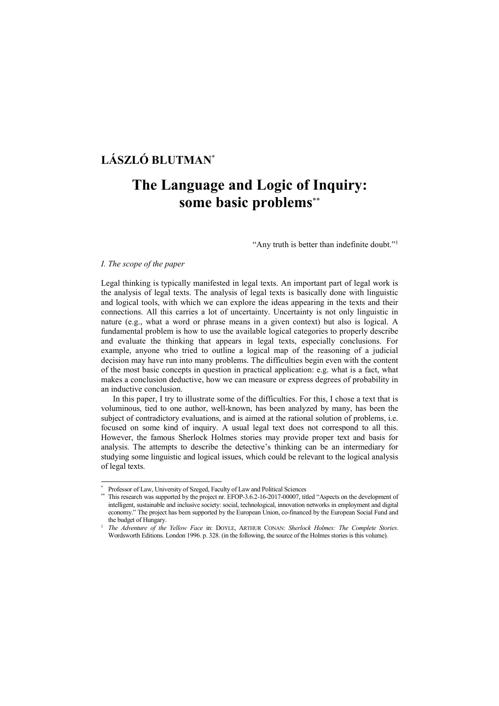## **LÁSZLÓ BLUTMAN**\*

# **The Language and Logic of Inquiry: some basic problems**\*\*

"Any truth is better than indefinite doubt."<sup>1</sup>

#### *I. The scope of the paper*

 $\overline{a}$ 

Legal thinking is typically manifested in legal texts. An important part of legal work is the analysis of legal texts. The analysis of legal texts is basically done with linguistic and logical tools, with which we can explore the ideas appearing in the texts and their connections. All this carries a lot of uncertainty. Uncertainty is not only linguistic in nature (e.g., what a word or phrase means in a given context) but also is logical. A fundamental problem is how to use the available logical categories to properly describe and evaluate the thinking that appears in legal texts, especially conclusions. For example, anyone who tried to outline a logical map of the reasoning of a judicial decision may have run into many problems. The difficulties begin even with the content of the most basic concepts in question in practical application: e.g. what is a fact, what makes a conclusion deductive, how we can measure or express degrees of probability in an inductive conclusion.

In this paper, I try to illustrate some of the difficulties. For this, I chose a text that is voluminous, tied to one author, well-known, has been analyzed by many, has been the subject of contradictory evaluations, and is aimed at the rational solution of problems, i.e. focused on some kind of inquiry. A usual legal text does not correspond to all this. However, the famous Sherlock Holmes stories may provide proper text and basis for analysis. The attempts to describe the detective's thinking can be an intermediary for studying some linguistic and logical issues, which could be relevant to the logical analysis of legal texts.

<sup>\*</sup> Professor of Law, University of Szeged, Faculty of Law and Political Sciences

<sup>\*\*</sup> This research was supported by the project nr. EFOP-3.6.2-16-2017-00007, titled "Aspects on the development of intelligent, sustainable and inclusive society: social, technological, innovation networks in employment and digital economy." The project has been supported by the European Union, co-financed by the European Social Fund and the budget of Hungary.

<sup>1</sup> *The Adventure of the Yellow Face* in: DOYLE, ARTHUR CONAN: *Sherlock Holmes: The Complete Stories*. Wordsworth Editions. London 1996. p. 328. (in the following, the source of the Holmes stories is this volume).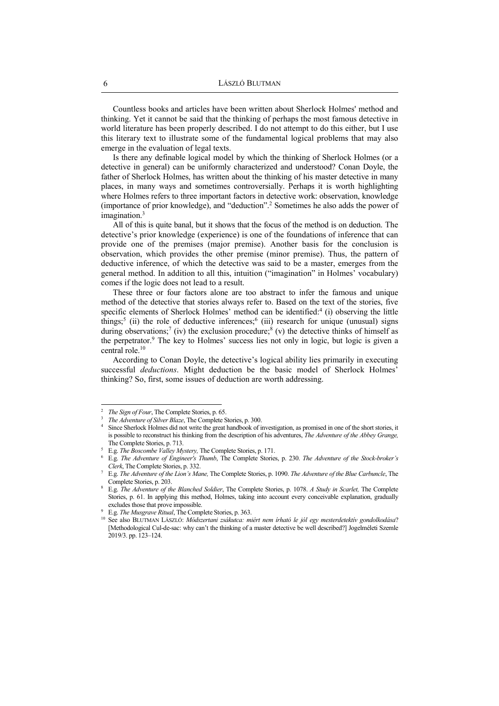Countless books and articles have been written about Sherlock Holmes' method and thinking. Yet it cannot be said that the thinking of perhaps the most famous detective in world literature has been properly described. I do not attempt to do this either, but I use this literary text to illustrate some of the fundamental logical problems that may also emerge in the evaluation of legal texts.

Is there any definable logical model by which the thinking of Sherlock Holmes (or a detective in general) can be uniformly characterized and understood? Conan Doyle, the father of Sherlock Holmes, has written about the thinking of his master detective in many places, in many ways and sometimes controversially. Perhaps it is worth highlighting where Holmes refers to three important factors in detective work: observation, knowledge (importance of prior knowledge), and "deduction".<sup>2</sup> Sometimes he also adds the power of imagination.<sup>3</sup>

All of this is quite banal, but it shows that the focus of the method is on deduction. The detective's prior knowledge (experience) is one of the foundations of inference that can provide one of the premises (major premise). Another basis for the conclusion is observation, which provides the other premise (minor premise). Thus, the pattern of deductive inference, of which the detective was said to be a master, emerges from the general method. In addition to all this, intuition ("imagination" in Holmes' vocabulary) comes if the logic does not lead to a result.

These three or four factors alone are too abstract to infer the famous and unique method of the detective that stories always refer to. Based on the text of the stories, five specific elements of Sherlock Holmes' method can be identified:<sup>4</sup> (i) observing the little things;<sup>5</sup> (ii) the role of deductive inferences;<sup>6</sup> (iii) research for unique (unusual) signs during observations;<sup>7</sup> (iv) the exclusion procedure;<sup>8</sup> (v) the detective thinks of himself as the perpetrator.<sup>9</sup> The key to Holmes' success lies not only in logic, but logic is given a central role.<sup>10</sup>

According to Conan Doyle, the detective's logical ability lies primarily in executing successful *deductions*. Might deduction be the basic model of Sherlock Holmes' thinking? So, first, some issues of deduction are worth addressing.

<sup>&</sup>lt;sup>2</sup> *The Sign of Four*, The Complete Stories, p. 65.

<sup>3</sup> *The Adventure of Silver Blaze*, The Complete Stories, p. 300.

<sup>4</sup> Since Sherlock Holmes did not write the great handbook of investigation, as promised in one of the short stories, it is possible to reconstruct his thinking from the description of his adventures, *The Adventure of the Abbey Grange,* The Complete Stories, p. 713.

<sup>5</sup> E.g. *The Boscombe Valley Mystery,* The Complete Stories, p. 171.

<sup>6</sup> E.g. *The Adventure of Engineer's Thumb*, The Complete Stories, p. 230. *The Adventure of the Stock-broker's Clerk*, The Complete Stories, p. 332.

<sup>7</sup> E.g. *The Adventure of the Lion's Mane,* The Complete Stories, p. 1090. *The Adventure of the Blue Carbuncle*, The Complete Stories, p. 203.

<sup>8</sup> E.g. *The Adventure of the Blanched Soldier*, The Complete Stories, p. 1078. *A Study in Scarlet,* The Complete Stories, p. 61. In applying this method, Holmes, taking into account every conceivable explanation, gradually excludes those that prove impossible.

<sup>9</sup> E.g. *The Musgrave Ritual*, The Complete Stories, p. 363.

<sup>10</sup> See also BLUTMAN LÁSZLÓ: *Módszertani zsákutca: miért nem írható le jól egy mesterdetektív gondolkodása*? [Methodological Cul-de-sac: why can't the thinking of a master detective be well described?] Jogelméleti Szemle 2019/3. pp. 123–124.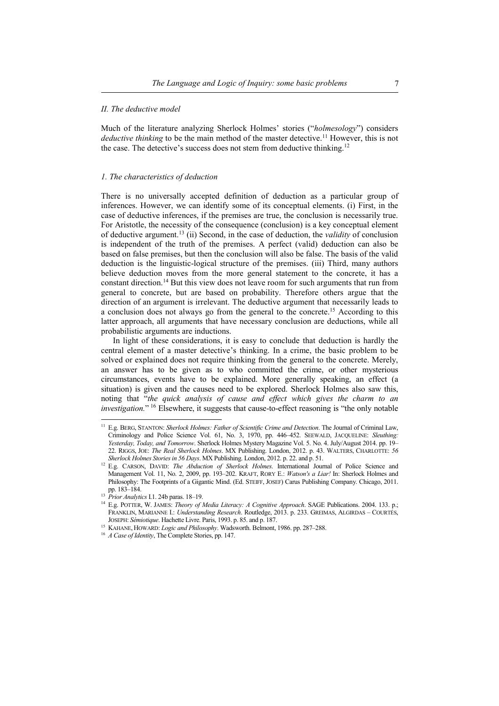#### *II. The deductive model*

Much of the literature analyzing Sherlock Holmes' stories ("*holmesology*") considers *deductive thinking* to be the main method of the master detective.<sup>11</sup> However, this is not the case. The detective's success does not stem from deductive thinking.<sup>12</sup>

#### *1. The characteristics of deduction*

There is no universally accepted definition of deduction as a particular group of inferences. However, we can identify some of its conceptual elements. (i) First, in the case of deductive inferences, if the premises are true, the conclusion is necessarily true. For Aristotle, the necessity of the consequence (conclusion) is a key conceptual element of deductive argument.<sup>13</sup> (ii) Second, in the case of deduction, the *validity* of conclusion is independent of the truth of the premises. A perfect (valid) deduction can also be based on false premises, but then the conclusion will also be false. The basis of the valid deduction is the linguistic-logical structure of the premises. (iii) Third, many authors believe deduction moves from the more general statement to the concrete, it has a constant direction.<sup>14</sup> But this view does not leave room for such arguments that run from general to concrete, but are based on probability. Therefore others argue that the direction of an argument is irrelevant. The deductive argument that necessarily leads to a conclusion does not always go from the general to the concrete.<sup>15</sup> According to this latter approach, all arguments that have necessary conclusion are deductions, while all probabilistic arguments are inductions.

In light of these considerations, it is easy to conclude that deduction is hardly the central element of a master detective's thinking. In a crime, the basic problem to be solved or explained does not require thinking from the general to the concrete. Merely, an answer has to be given as to who committed the crime, or other mysterious circumstances, events have to be explained. More generally speaking, an effect (a situation) is given and the causes need to be explored. Sherlock Holmes also saw this, noting that "*the quick analysis of cause and effect which gives the charm to an investigation.*" <sup>16</sup> Elsewhere, it suggests that cause-to-effect reasoning is "the only notable

<sup>11</sup> E.g. BERG, STANTON: *Sherlock Holmes: Father of Scientific Crime and Detection*. The Journal of Criminal Law, Criminology and Police Science Vol. 61, No. 3, 1970, pp. 446–452. SEEWALD, JACQUELINE: *Sleuthing: Yesterday, Today, and Tomorrow*. Sherlock Holmes Mystery Magazine Vol. 5. No. 4. July/August 2014. pp. 19– 22. RIGGS, JOE: *The Real Sherlock Holmes*. MX Publishing. London, 2012. p. 43. WALTERS, CHARLOTTE: *56 Sherlock Holmes Stories in 56 Days*. MX Publishing. London, 2012. p. 22. and p. 51.

<sup>&</sup>lt;sup>12</sup> E.g. CARSON, DAVID: *The Abduction of Sherlock Holmes*. International Journal of Police Science and Management Vol. 11, No. 2, 2009, pp. 193–202. KRAFT, RORY E.: *Watson's a Liar!* In: Sherlock Holmes and Philosophy: The Footprints of a Gigantic Mind. (Ed. STEIFF, JOSEF) Carus Publishing Company. Chicago, 2011.

pp. 183–184. 13 *Prior Analytics* I.1. 24b paras. 18–19.

<sup>&</sup>lt;sup>14</sup> E.g. POTTER, W. JAMES: *Theory of Media Literacy: A Cognitive Approach*. SAGE Publications. 2004. 133. p.; FRANKLIN, MARIANNE I.: *Understanding Research*. Routledge, 2013. p. 233. GREIMAS, ALGIRDAS – COURTÉS, JOSEPH: *Sémiotique*. Hachette Livre. Paris, 1993. p. 85. and p. 187.

<sup>15</sup> KAHANE, HOWARD: *Logic and Philosophy*. Wadsworth. Belmont, 1986. pp. 287–288.

<sup>16</sup> *A Case of Identity*, The Complete Stories, pp. 147.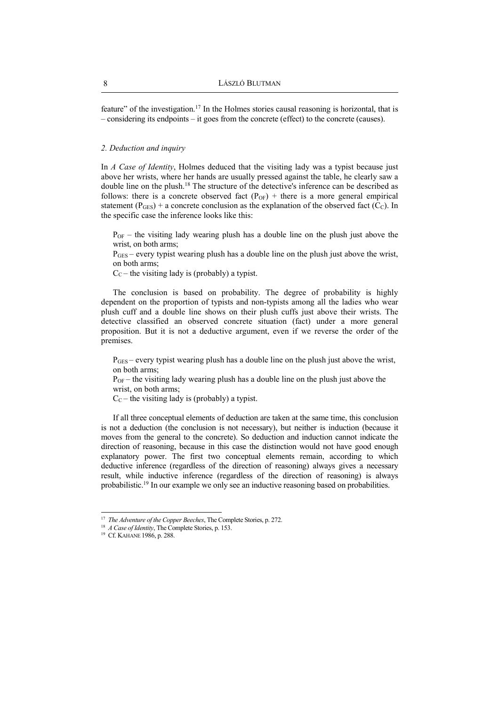feature" of the investigation.<sup>17</sup> In the Holmes stories causal reasoning is horizontal, that is – considering its endpoints – it goes from the concrete (effect) to the concrete (causes).

#### *2. Deduction and inquiry*

In *A Case of Identity*, Holmes deduced that the visiting lady was a typist because just above her wrists, where her hands are usually pressed against the table, he clearly saw a double line on the plush.<sup>18</sup> The structure of the detective's inference can be described as follows: there is a concrete observed fact  $(P<sub>OF</sub>)$  + there is a more general empirical statement ( $P_{GES}$ ) + a concrete conclusion as the explanation of the observed fact ( $\hat{C}_C$ ). In the specific case the inference looks like this:

 $P_{OF}$  – the visiting lady wearing plush has a double line on the plush just above the wrist, on both arms;

 $P<sub>GES</sub>$  – every typist wearing plush has a double line on the plush just above the wrist, on both arms;

 $C<sub>C</sub>$  – the visiting lady is (probably) a typist.

The conclusion is based on probability. The degree of probability is highly dependent on the proportion of typists and non-typists among all the ladies who wear plush cuff and a double line shows on their plush cuffs just above their wrists. The detective classified an observed concrete situation (fact) under a more general proposition. But it is not a deductive argument, even if we reverse the order of the premises.

 $P_{\text{GES}}$  – every typist wearing plush has a double line on the plush just above the wrist, on both arms;

 $P_{OF}$  – the visiting lady wearing plush has a double line on the plush just above the wrist, on both arms;

 $C_C$  – the visiting lady is (probably) a typist.

If all three conceptual elements of deduction are taken at the same time, this conclusion is not a deduction (the conclusion is not necessary), but neither is induction (because it moves from the general to the concrete). So deduction and induction cannot indicate the direction of reasoning, because in this case the distinction would not have good enough explanatory power. The first two conceptual elements remain, according to which deductive inference (regardless of the direction of reasoning) always gives a necessary result, while inductive inference (regardless of the direction of reasoning) is always probabilistic.<sup>19</sup> In our example we only see an inductive reasoning based on probabilities.

<sup>&</sup>lt;sup>17</sup> The Adventure of the Copper Beeches, The Complete Stories, p. 272.

<sup>18</sup> *A Case of Identity*, The Complete Stories, p. 153.

<sup>&</sup>lt;sup>19</sup> Cf. KAHANE 1986, p. 288.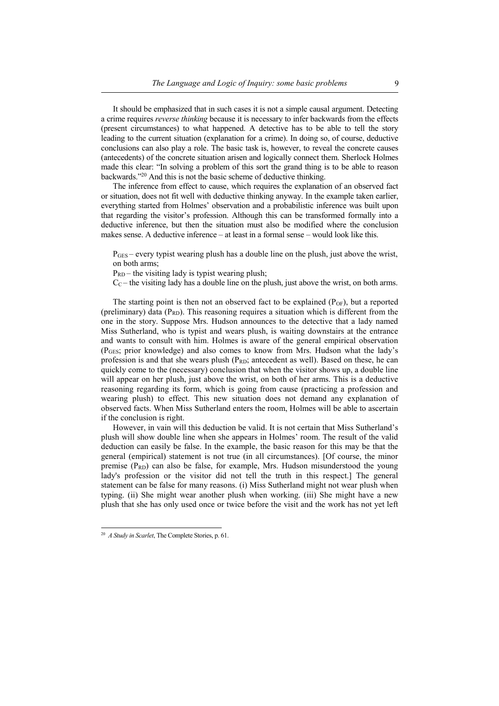It should be emphasized that in such cases it is not a simple causal argument. Detecting a crime requires *reverse thinking* because it is necessary to infer backwards from the effects (present circumstances) to what happened. A detective has to be able to tell the story leading to the current situation (explanation for a crime). In doing so, of course, deductive conclusions can also play a role. The basic task is, however, to reveal the concrete causes (antecedents) of the concrete situation arisen and logically connect them. Sherlock Holmes made this clear: "In solving a problem of this sort the grand thing is to be able to reason backwards."<sup>20</sup> And this is not the basic scheme of deductive thinking.

The inference from effect to cause, which requires the explanation of an observed fact or situation, does not fit well with deductive thinking anyway. In the example taken earlier, everything started from Holmes' observation and a probabilistic inference was built upon that regarding the visitor's profession. Although this can be transformed formally into a deductive inference, but then the situation must also be modified where the conclusion makes sense. A deductive inference – at least in a formal sense – would look like this.

 $P_{\text{GES}}$  – every typist wearing plush has a double line on the plush, just above the wrist, on both arms;

 $P_{RD}$  – the visiting lady is typist wearing plush;

 $C<sub>C</sub>$  – the visiting lady has a double line on the plush, just above the wrist, on both arms.

The starting point is then not an observed fact to be explained  $(P<sub>OF</sub>)$ , but a reported (preliminary) data ( $P_{RD}$ ). This reasoning requires a situation which is different from the one in the story. Suppose Mrs. Hudson announces to the detective that a lady named Miss Sutherland, who is typist and wears plush, is waiting downstairs at the entrance and wants to consult with him. Holmes is aware of the general empirical observation (PGES; prior knowledge) and also comes to know from Mrs. Hudson what the lady's profession is and that she wears plush  $(P_{RD})$ ; antecedent as well). Based on these, he can quickly come to the (necessary) conclusion that when the visitor shows up, a double line will appear on her plush, just above the wrist, on both of her arms. This is a deductive reasoning regarding its form, which is going from cause (practicing a profession and wearing plush) to effect. This new situation does not demand any explanation of observed facts. When Miss Sutherland enters the room, Holmes will be able to ascertain if the conclusion is right.

However, in vain will this deduction be valid. It is not certain that Miss Sutherland's plush will show double line when she appears in Holmes' room. The result of the valid deduction can easily be false. In the example, the basic reason for this may be that the general (empirical) statement is not true (in all circumstances). [Of course, the minor premise  $(P_{RD})$  can also be false, for example, Mrs. Hudson misunderstood the young lady's profession or the visitor did not tell the truth in this respect.] The general statement can be false for many reasons. (i) Miss Sutherland might not wear plush when typing. (ii) She might wear another plush when working. (iii) She might have a new plush that she has only used once or twice before the visit and the work has not yet left

 20 *A Study in Scarlet*, The Complete Stories, p. 61.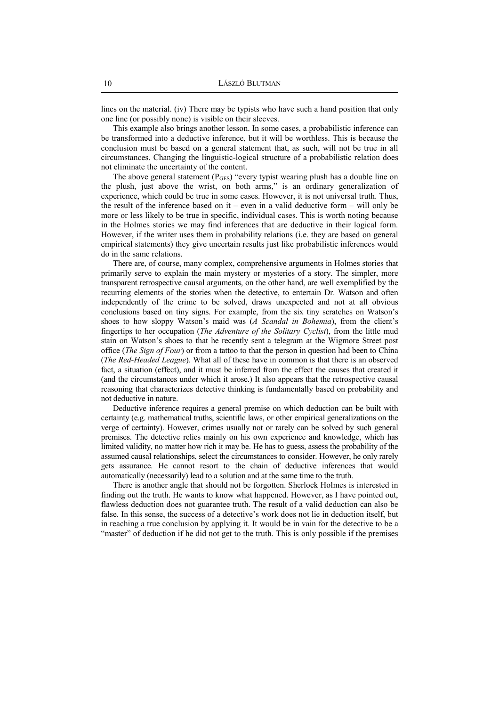lines on the material. (iv) There may be typists who have such a hand position that only one line (or possibly none) is visible on their sleeves.

This example also brings another lesson. In some cases, a probabilistic inference can be transformed into a deductive inference, but it will be worthless. This is because the conclusion must be based on a general statement that, as such, will not be true in all circumstances. Changing the linguistic-logical structure of a probabilistic relation does not eliminate the uncertainty of the content.

The above general statement  $(P_{\text{GES}})$  "every typist wearing plush has a double line on the plush, just above the wrist, on both arms," is an ordinary generalization of experience, which could be true in some cases. However, it is not universal truth. Thus, the result of the inference based on it – even in a valid deductive form – will only be more or less likely to be true in specific, individual cases. This is worth noting because in the Holmes stories we may find inferences that are deductive in their logical form. However, if the writer uses them in probability relations (i.e. they are based on general empirical statements) they give uncertain results just like probabilistic inferences would do in the same relations.

There are, of course, many complex, comprehensive arguments in Holmes stories that primarily serve to explain the main mystery or mysteries of a story. The simpler, more transparent retrospective causal arguments, on the other hand, are well exemplified by the recurring elements of the stories when the detective, to entertain Dr. Watson and often independently of the crime to be solved, draws unexpected and not at all obvious conclusions based on tiny signs. For example, from the six tiny scratches on Watson's shoes to how sloppy Watson's maid was (*A Scandal in Bohemia*), from the client's fingertips to her occupation (*The Adventure of the Solitary Cyclist*), from the little mud stain on Watson's shoes to that he recently sent a telegram at the Wigmore Street post office (*The Sign of Four*) or from a tattoo to that the person in question had been to China (*The Red-Headed League*). What all of these have in common is that there is an observed fact, a situation (effect), and it must be inferred from the effect the causes that created it (and the circumstances under which it arose.) It also appears that the retrospective causal reasoning that characterizes detective thinking is fundamentally based on probability and not deductive in nature.

Deductive inference requires a general premise on which deduction can be built with certainty (e.g. mathematical truths, scientific laws, or other empirical generalizations on the verge of certainty). However, crimes usually not or rarely can be solved by such general premises. The detective relies mainly on his own experience and knowledge, which has limited validity, no matter how rich it may be. He has to guess, assess the probability of the assumed causal relationships, select the circumstances to consider. However, he only rarely gets assurance. He cannot resort to the chain of deductive inferences that would automatically (necessarily) lead to a solution and at the same time to the truth.

There is another angle that should not be forgotten. Sherlock Holmes is interested in finding out the truth. He wants to know what happened. However, as I have pointed out, flawless deduction does not guarantee truth. The result of a valid deduction can also be false. In this sense, the success of a detective's work does not lie in deduction itself, but in reaching a true conclusion by applying it. It would be in vain for the detective to be a "master" of deduction if he did not get to the truth. This is only possible if the premises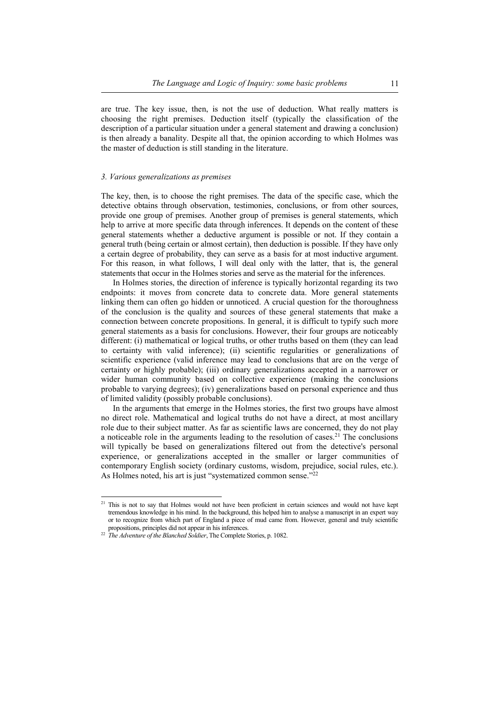are true. The key issue, then, is not the use of deduction. What really matters is choosing the right premises. Deduction itself (typically the classification of the description of a particular situation under a general statement and drawing a conclusion) is then already a banality. Despite all that, the opinion according to which Holmes was the master of deduction is still standing in the literature.

#### *3. Various generalizations as premises*

The key, then, is to choose the right premises. The data of the specific case, which the detective obtains through observation, testimonies, conclusions, or from other sources, provide one group of premises. Another group of premises is general statements, which help to arrive at more specific data through inferences. It depends on the content of these general statements whether a deductive argument is possible or not. If they contain a general truth (being certain or almost certain), then deduction is possible. If they have only a certain degree of probability, they can serve as a basis for at most inductive argument. For this reason, in what follows, I will deal only with the latter, that is, the general statements that occur in the Holmes stories and serve as the material for the inferences.

In Holmes stories, the direction of inference is typically horizontal regarding its two endpoints: it moves from concrete data to concrete data. More general statements linking them can often go hidden or unnoticed. A crucial question for the thoroughness of the conclusion is the quality and sources of these general statements that make a connection between concrete propositions. In general, it is difficult to typify such more general statements as a basis for conclusions. However, their four groups are noticeably different: (i) mathematical or logical truths, or other truths based on them (they can lead to certainty with valid inference); (ii) scientific regularities or generalizations of scientific experience (valid inference may lead to conclusions that are on the verge of certainty or highly probable); (iii) ordinary generalizations accepted in a narrower or wider human community based on collective experience (making the conclusions probable to varying degrees); (iv) generalizations based on personal experience and thus of limited validity (possibly probable conclusions).

In the arguments that emerge in the Holmes stories, the first two groups have almost no direct role. Mathematical and logical truths do not have a direct, at most ancillary role due to their subject matter. As far as scientific laws are concerned, they do not play a noticeable role in the arguments leading to the resolution of cases.<sup>21</sup> The conclusions will typically be based on generalizations filtered out from the detective's personal experience, or generalizations accepted in the smaller or larger communities of contemporary English society (ordinary customs, wisdom, prejudice, social rules, etc.). As Holmes noted, his art is just "systematized common sense."<sup>22</sup>

<sup>&</sup>lt;sup>21</sup> This is not to say that Holmes would not have been proficient in certain sciences and would not have kept tremendous knowledge in his mind. In the background, this helped him to analyse a manuscript in an expert way or to recognize from which part of England a piece of mud came from. However, general and truly scientific propositions, principles did not appear in his inferences.

<sup>&</sup>lt;sup>22</sup> The Adventure of the Blanched Soldier, The Complete Stories, p. 1082.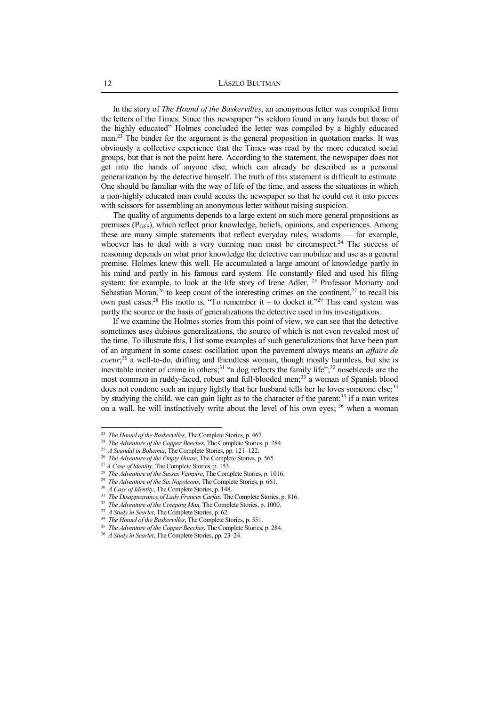In the story of *The Hound of the Baskervilles*, an anonymous letter was compiled from the letters of the Times. Since this newspaper "is seldom found in any hands but those of the highly educated" Holmes concluded the letter was compiled by a highly educated man.<sup>23</sup> The binder for the argument is the general proposition in quotation marks. It was obviously a collective experience that the Times was read by the more educated social groups, but that is not the point here. According to the statement, the newspaper does not get into the hands of anyone else, which can already be described as a personal generalization by the detective himself. The truth of this statement is difficult to estimate. One should be familiar with the way of life of the time, and assess the situations in which a non-highly educated man could access the newspaper so that he could cut it into pieces with scissors for assembling an anonymous letter without raising suspicion.

The quality of arguments depends to a large extent on such more general propositions as premises (PGES), which reflect prior knowledge, beliefs, opinions, and experiences. Among these are many simple statements that reflect everyday rules, wisdoms — for example, whoever has to deal with a very cunning man must be circumspect.<sup>24</sup> The success of reasoning depends on what prior knowledge the detective can mobilize and use as a general premise. Holmes knew this well. He accumulated a large amount of knowledge partly in his mind and partly in his famous card system. He constantly filed and used his filing system: for example, to look at the life story of Irene Adler, <sup>25</sup> Professor Moriarty and Sebastian Moran,<sup>26</sup> to keep count of the interesting crimes on the continent,<sup>27</sup> to recall his own past cases.<sup>28</sup> His motto is, "To remember it – to docket it."<sup>29</sup> This card system was partly the source or the basis of generalizations the detective used in his investigations.

If we examine the Holmes stories from this point of view, we can see that the detective sometimes uses dubious generalizations, the source of which is not even revealed most of the time. To illustrate this, I list some examples of such generalizations that have been part of an argument in some cases: oscillation upon the pavement always means an *affaire de coeur*; <sup>30</sup> a well-to-do, drifting and friendless woman, though mostly harmless, but she is inevitable inciter of crime in others;<sup>31</sup> "a dog reflects the family life";<sup>32</sup> nosebleeds are the most common in ruddy-faced, robust and full-blooded men;<sup>33</sup> a woman of Spanish blood does not condone such an injury lightly that her husband tells her he loves someone else;<sup>34</sup> by studying the child, we can gain light as to the character of the parent;<sup>35</sup> if a man writes on a wall, he will instinctively write about the level of his own eyes; <sup>36</sup> when a woman

29 *The Adventure of the Six Napoleons*, The Complete Stories, p. 661.

 23 *The Hound of the Baskervilles*, The Complete Stories, p. 467.

<sup>&</sup>lt;sup>24</sup> The Adventure of the Copper Beeches, The Complete Stories, p. 284.

<sup>25</sup> *A Scandal in Bohemia*, The Complete Stories, pp. 121–122.

<sup>26</sup> *The Adventure of the Empty House*, The Complete Stories, p. 565.

<sup>27</sup> *A Case of Identity*, The Complete Stories, p. 153.

<sup>&</sup>lt;sup>28</sup> *The Adventure of the Sussex Vampire*, The Complete Stories, p. 1016.

<sup>30</sup> *A Case of Identity*, The Complete Stories, p. 148.

<sup>31</sup> *The Disappearance of Lady Frances Carfax*, The Complete Stories, p. 816.

<sup>&</sup>lt;sup>32</sup> The Adventure of the Creeping Man, The Complete Stories, p. 1000.

<sup>33</sup> *A Study in Scarlet*, The Complete Stories, p. 62.

<sup>34</sup> *The Hound of the Baskervilles*, The Complete Stories, p. 551.

<sup>&</sup>lt;sup>35</sup> The Adventure of the Copper Beeches, The Complete Stories, p. 284.

<sup>36</sup> *A Study in Scarlet*, The Complete Stories, pp. 23–24.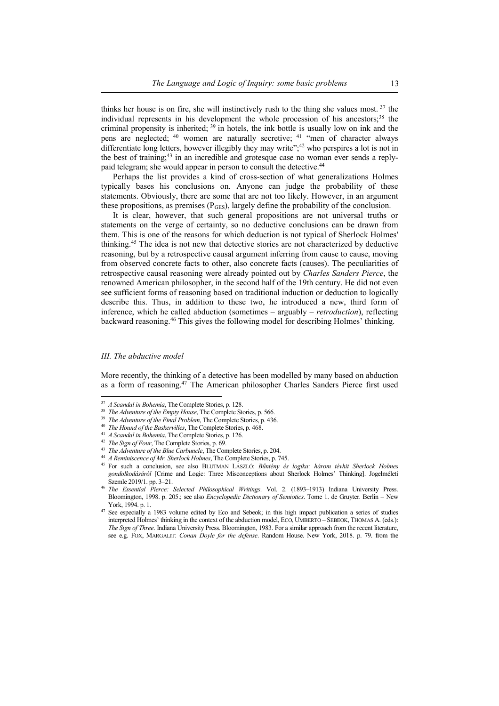thinks her house is on fire, she will instinctively rush to the thing she values most.<sup>37</sup> the individual represents in his development the whole procession of his ancestors;<sup>38</sup> the criminal propensity is inherited;  $39$  in hotels, the ink bottle is usually low on ink and the pens are neglected;<sup>40</sup> women are naturally secretive;<sup>41</sup> "men of character always differentiate long letters, however illegibly they may write";<sup>42</sup> who perspires a lot is not in the best of training;  $43$  in an incredible and grotesque case no woman ever sends a replypaid telegram; she would appear in person to consult the detective.<sup>44</sup>

Perhaps the list provides a kind of cross-section of what generalizations Holmes typically bases his conclusions on. Anyone can judge the probability of these statements. Obviously, there are some that are not too likely. However, in an argument these propositions, as premises  $(P_{\text{GES}})$ , largely define the probability of the conclusion.

It is clear, however, that such general propositions are not universal truths or statements on the verge of certainty, so no deductive conclusions can be drawn from them. This is one of the reasons for which deduction is not typical of Sherlock Holmes' thinking.<sup>45</sup> The idea is not new that detective stories are not characterized by deductive reasoning, but by a retrospective causal argument inferring from cause to cause, moving from observed concrete facts to other, also concrete facts (causes). The peculiarities of retrospective causal reasoning were already pointed out by *Charles Sanders Pierce*, the renowned American philosopher, in the second half of the 19th century. He did not even see sufficient forms of reasoning based on traditional induction or deduction to logically describe this. Thus, in addition to these two, he introduced a new, third form of inference, which he called abduction (sometimes – arguably – *retroduction*), reflecting backward reasoning.<sup>46</sup> This gives the following model for describing Holmes' thinking.

#### *III. The abductive model*

More recently, the thinking of a detective has been modelled by many based on abduction as a form of reasoning.<sup>47</sup> The American philosopher Charles Sanders Pierce first used

 37 *A Scandal in Bohemia*, The Complete Stories, p. 128.

<sup>38</sup> *The Adventure of the Empty House*, The Complete Stories, p. 566.

<sup>39</sup> *The Adventure of the Final Problem*, The Complete Stories, p. 436.

<sup>40</sup> *The Hound of the Baskervilles*, The Complete Stories, p. 468.

<sup>41</sup> *A Scandal in Bohemia*, The Complete Stories, p. 126.

<sup>42</sup> *The Sign of Four*, The Complete Stories, p. 69.

<sup>&</sup>lt;sup>43</sup> The Adventure of the Blue Carbuncle, The Complete Stories, p. 204.

<sup>44</sup> *A Reminiscence of Mr. Sherlock Holmes*, The Complete Stories, p. 745.

<sup>45</sup> For such a conclusion, see also BLUTMAN LÁSZLÓ: *Bűntény és logika: három tévhit Sherlock Holmes gondolkodásáról* [Crime and Logic: Three Misconceptions about Sherlock Holmes' Thinking]. Jogelméleti Szemle 2019/1. pp. 3–21.

<sup>46</sup> *The Essential Pierce: Selected Philosophical Writings*. Vol. 2. (1893–1913) Indiana University Press. Bloomington, 1998. p. 205.; see also *Encyclopedic Dictionary of Semiotics*. Tome 1. de Gruyter. Berlin – New York, 1994. p. 1.

<sup>&</sup>lt;sup>47</sup> See especially a 1983 volume edited by Eco and Sebeok; in this high impact publication a series of studies interpreted Holmes' thinking in the context of the abduction model, ECO, UMBERTO – SEBEOK, THOMAS A. (eds.): *The Sign of Three*. Indiana University Press. Bloomington, 1983. For a similar approach from the recent literature, see e.g. FOX, MARGALIT: *Conan Doyle for the defense*. Random House. New York, 2018. p. 79. from the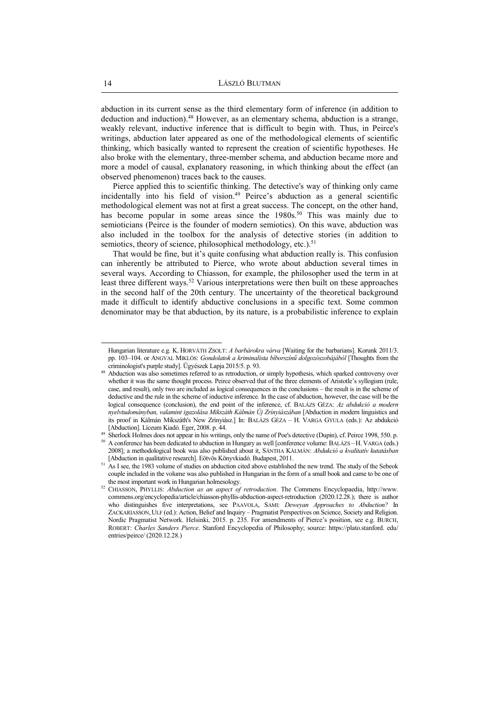abduction in its current sense as the third elementary form of inference (in addition to deduction and induction).<sup>48</sup> However, as an elementary schema, abduction is a strange, weakly relevant, inductive inference that is difficult to begin with. Thus, in Peirce's writings, abduction later appeared as one of the methodological elements of scientific thinking, which basically wanted to represent the creation of scientific hypotheses. He also broke with the elementary, three-member schema, and abduction became more and more a model of causal, explanatory reasoning, in which thinking about the effect (an observed phenomenon) traces back to the causes.

Pierce applied this to scientific thinking. The detective's way of thinking only came incidentally into his field of vision.<sup>49</sup> Peirce's abduction as a general scientific methodological element was not at first a great success. The concept, on the other hand, has become popular in some areas since the 1980s.<sup>50</sup> This was mainly due to semioticians (Peirce is the founder of modern semiotics). On this wave, abduction was also included in the toolbox for the analysis of detective stories (in addition to semiotics, theory of science, philosophical methodology, etc.).<sup>51</sup>

That would be fine, but it's quite confusing what abduction really is. This confusion can inherently be attributed to Pierce, who wrote about abduction several times in several ways. According to Chiasson, for example, the philosopher used the term in at least three different ways.<sup>52</sup> Various interpretations were then built on these approaches in the second half of the 20th century. The uncertainty of the theoretical background made it difficult to identify abductive conclusions in a specific text. Some common denominator may be that abduction, by its nature, is a probabilistic inference to explain

Hungarian literature e.g. K. HORVÁTH ZSOLT: *A barbárokra várva* [Waiting for the barbarians]. Korunk 2011/3. pp. 103–104. or ANGYAL MIKLÓS: *Gondolatok a kriminalista bíborszínű dolgozószobájából* [Thoughts from the criminologist's purple study]. Ügyészek Lapja 2015/5. p. 93.

<sup>48</sup> Abduction was also sometimes referred to as retroduction, or simply hypothesis, which sparked controversy over whether it was the same thought process. Peirce observed that of the three elements of Aristotle's syllogism (rule, case, and result), only two are included as logical consequences in the conclusions – the result is in the scheme of deductive and the rule in the scheme of inductive inference. In the case of abduction, however, the case will be the logical consequence (conclusion), the end point of the inference, cf. BALÁZS GÉZA: *Az abdukció a modern nyelvtudományban, valamint igazolása Mikszáth Kálmán Új Zrínyiászában* [Abduction in modern linguistics and its proof in Kálmán Mikszáth's New Zrínyiász.] In: BALÁZS GÉZA – H. VARGA GYULA (eds.): Az abdukció [Abduction]. Líceum Kiadó. Eger, 2008. p. 44.

<sup>&</sup>lt;sup>49</sup> Sherlock Holmes does not appear in his writings, only the name of Poe's detective (Dupin), cf. Peirce 1998, 550. p.

<sup>50</sup> A conference has been dedicated to abduction in Hungary as well [conference volume: BALÁZS – H. VARGA (eds.) 2008]; a methodological book was also published about it, SÁNTHA KÁLMÁN: *Abdukció a kvalitatív kutatásban* [Abduction in qualitative research]. Eötvös Könyvkiadó. Budapest, 2011.

<sup>&</sup>lt;sup>51</sup> As I see, the 1983 volume of studies on abduction cited above established the new trend. The study of the Sebeok couple included in the volume was also published in Hungarian in the form of a small book and came to be one of the most important work in Hungarian holmesology.

<sup>52</sup> CHIASSON, PHYLLIS: *Abduction as an aspect of retroduction*. The Commens Encyclopaedia, http://www. commens.org/encyclopedia/article/chiasson-phyllis-abduction-aspect-retroduction (2020.12.28.); there is author who distinguishes five interpretations, see PAAVOLA, SAMI: *Deweyan Approaches to Abduction?* In ZACKARIASSON, ULF (ed.): Action, Belief and Inquiry – Pragmatist Perspectives on Science, Society and Religion. Nordic Pragmatist Network. Helsinki, 2015. p. 235. For amendments of Pierce's position, see e.g. BURCH, ROBERT: *Charles Sanders Pierce*. Stanford Encyclopedia of Philosophy; source: https://plato.stanford. edu/ entries/peirce/ (2020.12.28.)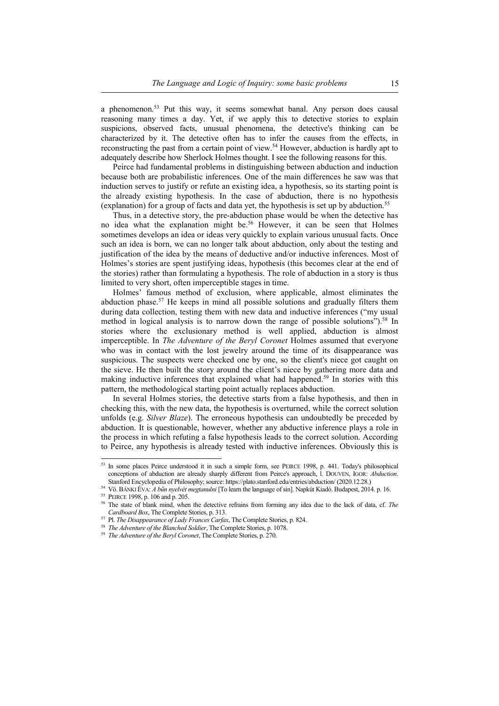a phenomenon.<sup>53</sup> Put this way, it seems somewhat banal. Any person does causal reasoning many times a day. Yet, if we apply this to detective stories to explain suspicions, observed facts, unusual phenomena, the detective's thinking can be characterized by it. The detective often has to infer the causes from the effects, in reconstructing the past from a certain point of view.<sup>54</sup> However, abduction is hardly apt to adequately describe how Sherlock Holmes thought. I see the following reasons for this.

Peirce had fundamental problems in distinguishing between abduction and induction because both are probabilistic inferences. One of the main differences he saw was that induction serves to justify or refute an existing idea, a hypothesis, so its starting point is the already existing hypothesis. In the case of abduction, there is no hypothesis (explanation) for a group of facts and data yet, the hypothesis is set up by abduction.<sup>55</sup>

Thus, in a detective story, the pre-abduction phase would be when the detective has no idea what the explanation might be.<sup>56</sup> However, it can be seen that Holmes sometimes develops an idea or ideas very quickly to explain various unusual facts. Once such an idea is born, we can no longer talk about abduction, only about the testing and justification of the idea by the means of deductive and/or inductive inferences. Most of Holmes's stories are spent justifying ideas, hypothesis (this becomes clear at the end of the stories) rather than formulating a hypothesis. The role of abduction in a story is thus limited to very short, often imperceptible stages in time.

Holmes' famous method of exclusion, where applicable, almost eliminates the abduction phase.<sup>57</sup> He keeps in mind all possible solutions and gradually filters them during data collection, testing them with new data and inductive inferences ("my usual method in logical analysis is to narrow down the range of possible solutions").<sup>58</sup> In stories where the exclusionary method is well applied, abduction is almost imperceptible. In *The Adventure of the Beryl Coronet* Holmes assumed that everyone who was in contact with the lost jewelry around the time of its disappearance was suspicious. The suspects were checked one by one, so the client's niece got caught on the sieve. He then built the story around the client's niece by gathering more data and making inductive inferences that explained what had happened.<sup>59</sup> In stories with this pattern, the methodological starting point actually replaces abduction.

In several Holmes stories, the detective starts from a false hypothesis, and then in checking this, with the new data, the hypothesis is overturned, while the correct solution unfolds (e.g. *Silver Blaze*). The erroneous hypothesis can undoubtedly be preceded by abduction. It is questionable, however, whether any abductive inference plays a role in the process in which refuting a false hypothesis leads to the correct solution. According to Peirce, any hypothesis is already tested with inductive inferences. Obviously this is

<sup>53</sup> In some places Peirce understood it in such a simple form, see PEIRCE 1998, p. 441. Today's philosophical conceptions of abduction are already sharply different from Peirce's approach, l. DOUVEN, IGOR: *Abduction*. Stanford Encyclopedia of Philosophy; source: https://plato.stanford.edu/entries/abduction/ (2020.12.28.)

<sup>54</sup> Vö. BÁNKI ÉVA: *A bűn nyelvét megtanulni* [To learn the language of sin]. Napkút Kiadó. Budapest, 2014. p. 16.

<sup>55</sup> PEIRCE 1998, p. 106 and p. 205.

<sup>56</sup> The state of blank mind, when the detective refrains from forming any idea due to the lack of data, cf. *The Cardboard Box*, The Complete Stories, p. 313.

<sup>57</sup> Pl. *The Disappearance of Lady Frances Carfax*, The Complete Stories, p. 824.

<sup>58</sup> *The Adventure of the Blanched Soldier*, The Complete Stories, p. 1078.

<sup>59</sup> *The Adventure of the Beryl Coronet*, The Complete Stories, p. 270.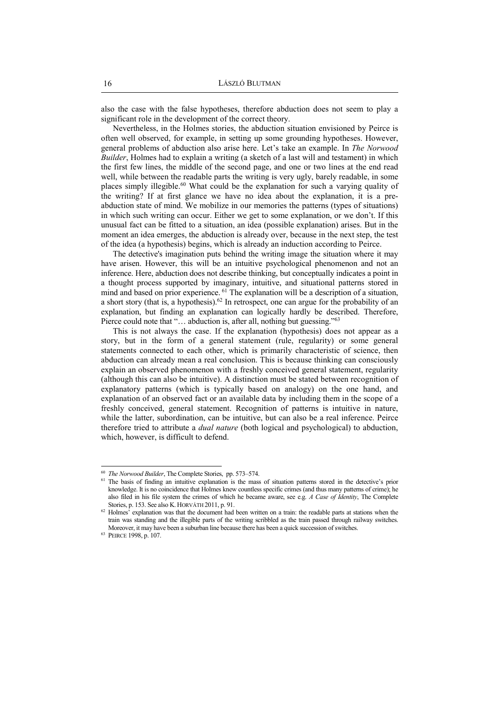also the case with the false hypotheses, therefore abduction does not seem to play a significant role in the development of the correct theory.

Nevertheless, in the Holmes stories, the abduction situation envisioned by Peirce is often well observed, for example, in setting up some grounding hypotheses. However, general problems of abduction also arise here. Let's take an example. In *The Norwood Builder*, Holmes had to explain a writing (a sketch of a last will and testament) in which the first few lines, the middle of the second page, and one or two lines at the end read well, while between the readable parts the writing is very ugly, barely readable, in some places simply illegible.<sup>60</sup> What could be the explanation for such a varying quality of the writing? If at first glance we have no idea about the explanation, it is a preabduction state of mind. We mobilize in our memories the patterns (types of situations) in which such writing can occur. Either we get to some explanation, or we don't. If this unusual fact can be fitted to a situation, an idea (possible explanation) arises. But in the moment an idea emerges, the abduction is already over, because in the next step, the test of the idea (a hypothesis) begins, which is already an induction according to Peirce.

The detective's imagination puts behind the writing image the situation where it may have arisen. However, this will be an intuitive psychological phenomenon and not an inference. Here, abduction does not describe thinking, but conceptually indicates a point in a thought process supported by imaginary, intuitive, and situational patterns stored in mind and based on prior experience. <sup>61</sup> The explanation will be a description of a situation, a short story (that is, a hypothesis).<sup>62</sup> In retrospect, one can argue for the probability of an explanation, but finding an explanation can logically hardly be described. Therefore, Pierce could note that "... abduction is, after all, nothing but guessing."<sup>63</sup>

This is not always the case. If the explanation (hypothesis) does not appear as a story, but in the form of a general statement (rule, regularity) or some general statements connected to each other, which is primarily characteristic of science, then abduction can already mean a real conclusion. This is because thinking can consciously explain an observed phenomenon with a freshly conceived general statement, regularity (although this can also be intuitive). A distinction must be stated between recognition of explanatory patterns (which is typically based on analogy) on the one hand, and explanation of an observed fact or an available data by including them in the scope of a freshly conceived, general statement. Recognition of patterns is intuitive in nature, while the latter, subordination, can be intuitive, but can also be a real inference. Peirce therefore tried to attribute a *dual nature* (both logical and psychological) to abduction, which, however, is difficult to defend.

 60 *The Norwood Builder*, The Complete Stories, pp. 573–574.

<sup>&</sup>lt;sup>61</sup> The basis of finding an intuitive explanation is the mass of situation patterns stored in the detective's prior knowledge. It is no coincidence that Holmes knew countless specific crimes (and thus many patterns of crime); he also filed in his file system the crimes of which he became aware, see e.g. *A Case of Identity*, The Complete Stories, p. 153. See also K. HORVÁTH 2011, p. 91.

 $62$  Holmes' explanation was that the document had been written on a train: the readable parts at stations when the train was standing and the illegible parts of the writing scribbled as the train passed through railway switches. Moreover, it may have been a suburban line because there has been a quick succession of switches.

<sup>63</sup> PEIRCE 1998, p. 107.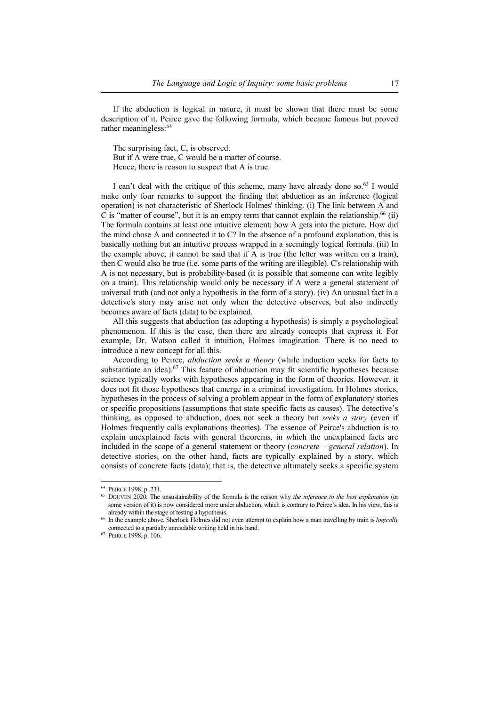If the abduction is logical in nature, it must be shown that there must be some description of it. Peirce gave the following formula, which became famous but proved rather meaningless:<sup>64</sup>

The surprising fact, C, is observed.

But if A were true, C would be a matter of course. Hence, there is reason to suspect that A is true.

I can't deal with the critique of this scheme, many have already done so.<sup>65</sup> I would make only four remarks to support the finding that abduction as an inference (logical operation) is not characteristic of Sherlock Holmes' thinking. (i) The link between A and C is "matter of course", but it is an empty term that cannot explain the relationship.<sup>66</sup> (ii) The formula contains at least one intuitive element: how A gets into the picture. How did the mind chose A and connected it to C? In the absence of a profound explanation, this is basically nothing but an intuitive process wrapped in a seemingly logical formula. (iii) In the example above, it cannot be said that if A is true (the letter was written on a train), then C would also be true (i.e. some parts of the writing are illegible). C's relationship with A is not necessary, but is probability-based (it is possible that someone can write legibly on a train). This relationship would only be necessary if A were a general statement of universal truth (and not only a hypothesis in the form of a story). (iv) An unusual fact in a detective's story may arise not only when the detective observes, but also indirectly becomes aware of facts (data) to be explained.

All this suggests that abduction (as adopting a hypothesis) is simply a psychological phenomenon. If this is the case, then there are already concepts that express it. For example, Dr. Watson called it intuition, Holmes imagination. There is no need to introduce a new concept for all this.

According to Peirce, *abduction seeks a theory* (while induction seeks for facts to substantiate an idea).<sup>67</sup> This feature of abduction may fit scientific hypotheses because science typically works with hypotheses appearing in the form of theories. However, it does not fit those hypotheses that emerge in a criminal investigation. In Holmes stories, hypotheses in the process of solving a problem appear in the form of explanatory stories or specific propositions (assumptions that state specific facts as causes). The detective's thinking, as opposed to abduction, does not seek a theory but *seeks a story* (even if Holmes frequently calls explanations theories). The essence of Peirce's abduction is to explain unexplained facts with general theorems, in which the unexplained facts are included in the scope of a general statement or theory (*concrete – general relation*). In detective stories, on the other hand, facts are typically explained by a story, which consists of concrete facts (data); that is, the detective ultimately seeks a specific system

<sup>64</sup> PEIRCE 1998, p. 231.

<sup>65</sup> DOUVEN 2020*.* The unsustainability of the formula is the reason why *the inference to the best explanation* (or some version of it) is now considered more under abduction, which is contrary to Peirce's idea. In his view, this is already within the stage of testing a hypothesis.

<sup>66</sup> In the example above, Sherlock Holmes did not even attempt to explain how a man travelling by train is *logically*  connected to a partially unreadable writing held in his hand.

<sup>67</sup> PEIRCE 1998, p. 106.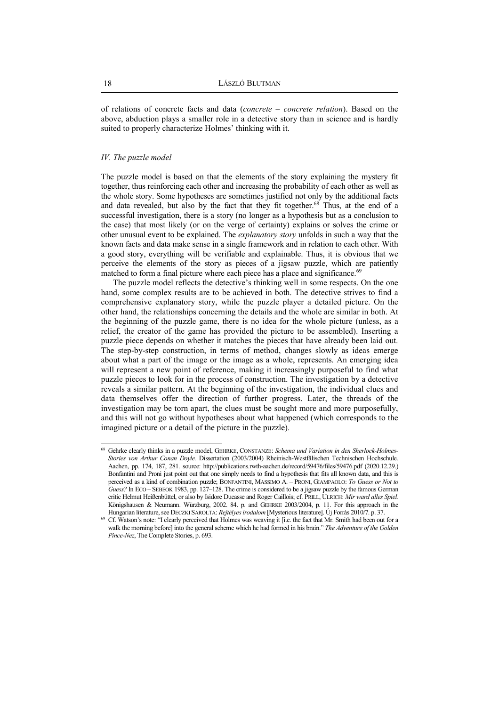of relations of concrete facts and data (*concrete – concrete relation*). Based on the above, abduction plays a smaller role in a detective story than in science and is hardly suited to properly characterize Holmes' thinking with it.

#### *IV. The puzzle model*

The puzzle model is based on that the elements of the story explaining the mystery fit together, thus reinforcing each other and increasing the probability of each other as well as the whole story. Some hypotheses are sometimes justified not only by the additional facts and data revealed, but also by the fact that they fit together.<sup>68</sup> Thus, at the end of a successful investigation, there is a story (no longer as a hypothesis but as a conclusion to the case) that most likely (or on the verge of certainty) explains or solves the crime or other unusual event to be explained. The *explanatory story* unfolds in such a way that the known facts and data make sense in a single framework and in relation to each other. With a good story, everything will be verifiable and explainable. Thus, it is obvious that we perceive the elements of the story as pieces of a jigsaw puzzle, which are patiently matched to form a final picture where each piece has a place and significance.<sup>69</sup>

The puzzle model reflects the detective's thinking well in some respects. On the one hand, some complex results are to be achieved in both. The detective strives to find a comprehensive explanatory story, while the puzzle player a detailed picture. On the other hand, the relationships concerning the details and the whole are similar in both. At the beginning of the puzzle game, there is no idea for the whole picture (unless, as a relief, the creator of the game has provided the picture to be assembled). Inserting a puzzle piece depends on whether it matches the pieces that have already been laid out. The step-by-step construction, in terms of method, changes slowly as ideas emerge about what a part of the image or the image as a whole, represents. An emerging idea will represent a new point of reference, making it increasingly purposeful to find what puzzle pieces to look for in the process of construction. The investigation by a detective reveals a similar pattern. At the beginning of the investigation, the individual clues and data themselves offer the direction of further progress. Later, the threads of the investigation may be torn apart, the clues must be sought more and more purposefully, and this will not go without hypotheses about what happened (which corresponds to the imagined picture or a detail of the picture in the puzzle).

<sup>68</sup> Gehrke clearly thinks in a puzzle model, GEHRKE, CONSTANZE: *Schema und Variation in den Sherlock-Holmes-Stories von Arthur Conan Doyle.* Dissertation (2003/2004) Rheinisch-Westfälischen Technischen Hochschule. Aachen, pp. 174, 187, 281. source: http://publications.rwth-aachen.de/record/59476/files/59476.pdf (2020.12.29.) Bonfantini and Proni just point out that one simply needs to find a hypothesis that fits all known data, and this is perceived as a kind of combination puzzle; BONFANTINI, MASSIMO A. – PRONI, GIAMPAOLO: *To Guess or Not to Guess?* In ECO – SEBEOK 1983, pp. 127–128. The crime is considered to be a jigsaw puzzle by the famous German critic Helmut Heißenbüttel, or also by Isidore Ducasse and Roger Caillois; cf. PRILL, ULRICH: *Mir ward alles Spiel.* Königshausen & Neumann. Würzburg, 2002. 84. p. and GEHRKE 2003/2004, p. 11. For this approach in the Hungarian literature, see DECZKI SAROLTA: *Rejtélyes irodalom* [Mysterious literature]. Új Forrás 2010/7. p. 37.

<sup>&</sup>lt;sup>69</sup> Cf. Watson's note: "I clearly perceived that Holmes was weaving it [i.e. the fact that Mr. Smith had been out for a walk the morning before] into the general scheme which he had formed in his brain." *The Adventure of the Golden Pince-Nez*, The Complete Stories, p. 693.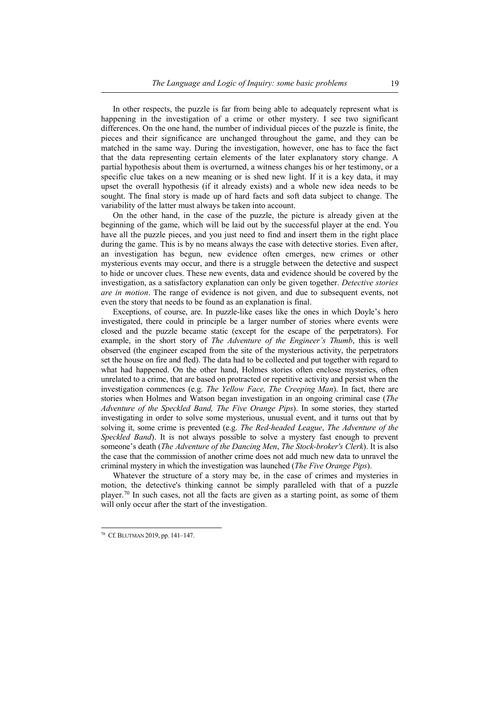In other respects, the puzzle is far from being able to adequately represent what is happening in the investigation of a crime or other mystery. I see two significant differences. On the one hand, the number of individual pieces of the puzzle is finite, the pieces and their significance are unchanged throughout the game, and they can be matched in the same way. During the investigation, however, one has to face the fact that the data representing certain elements of the later explanatory story change. A partial hypothesis about them is overturned, a witness changes his or her testimony, or a specific clue takes on a new meaning or is shed new light. If it is a key data, it may upset the overall hypothesis (if it already exists) and a whole new idea needs to be sought. The final story is made up of hard facts and soft data subject to change. The variability of the latter must always be taken into account.

On the other hand, in the case of the puzzle, the picture is already given at the beginning of the game, which will be laid out by the successful player at the end. You have all the puzzle pieces, and you just need to find and insert them in the right place during the game. This is by no means always the case with detective stories. Even after, an investigation has begun, new evidence often emerges, new crimes or other mysterious events may occur, and there is a struggle between the detective and suspect to hide or uncover clues. These new events, data and evidence should be covered by the investigation, as a satisfactory explanation can only be given together. *Detective stories are in motion*. The range of evidence is not given, and due to subsequent events, not even the story that needs to be found as an explanation is final.

Exceptions, of course, are. In puzzle-like cases like the ones in which Doyle's hero investigated, there could in principle be a larger number of stories where events were closed and the puzzle became static (except for the escape of the perpetrators). For example, in the short story of *The Adventure of the Engineer's Thumb*, this is well observed (the engineer escaped from the site of the mysterious activity, the perpetrators set the house on fire and fled). The data had to be collected and put together with regard to what had happened. On the other hand, Holmes stories often enclose mysteries, often unrelated to a crime, that are based on protracted or repetitive activity and persist when the investigation commences (e.g. *The Yellow Face, The Creeping Man*). In fact, there are stories when Holmes and Watson began investigation in an ongoing criminal case (*The Adventure of the Speckled Band, The Five Orange Pips*). In some stories, they started investigating in order to solve some mysterious, unusual event, and it turns out that by solving it, some crime is prevented (e.g. *The Red-headed League*, *The Adventure of the Speckled Band*). It is not always possible to solve a mystery fast enough to prevent someone's death (*The Adventure of the Dancing Men*, *The Stock-broker's Clerk*). It is also the case that the commission of another crime does not add much new data to unravel the criminal mystery in which the investigation was launched (*The Five Orange Pips*).

Whatever the structure of a story may be, in the case of crimes and mysteries in motion, the detective's thinking cannot be simply paralleled with that of a puzzle player.<sup>70</sup> In such cases, not all the facts are given as a starting point, as some of them will only occur after the start of the investigation.

<sup>70</sup> Cf. BLUTMAN 2019, pp. 141–147.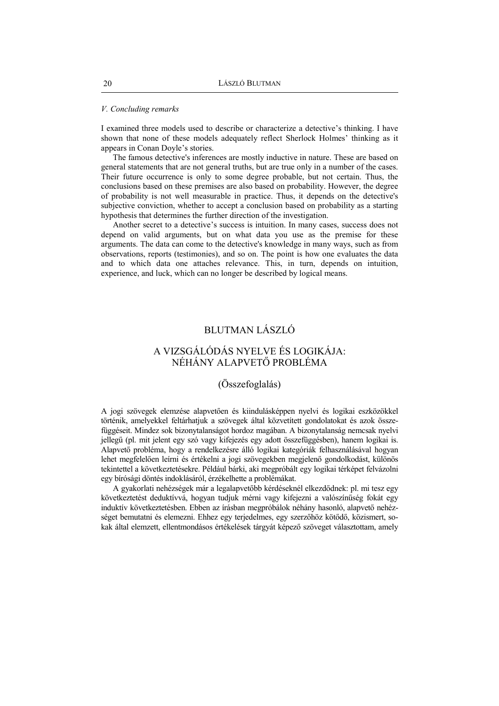#### *V. Concluding remarks*

I examined three models used to describe or characterize a detective's thinking. I have shown that none of these models adequately reflect Sherlock Holmes' thinking as it appears in Conan Doyle's stories.

The famous detective's inferences are mostly inductive in nature. These are based on general statements that are not general truths, but are true only in a number of the cases. Their future occurrence is only to some degree probable, but not certain. Thus, the conclusions based on these premises are also based on probability. However, the degree of probability is not well measurable in practice. Thus, it depends on the detective's subjective conviction, whether to accept a conclusion based on probability as a starting hypothesis that determines the further direction of the investigation.

Another secret to a detective's success is intuition. In many cases, success does not depend on valid arguments, but on what data you use as the premise for these arguments. The data can come to the detective's knowledge in many ways, such as from observations, reports (testimonies), and so on. The point is how one evaluates the data and to which data one attaches relevance. This, in turn, depends on intuition, experience, and luck, which can no longer be described by logical means.

### BLUTMAN LÁSZLÓ

## A VIZSGÁLÓDÁS NYELVE ÉS LOGIKÁJA: NÉHÁNY ALAPVETŐ PROBLÉMA

#### (Összefoglalás)

A jogi szövegek elemzése alapvetően és kiindulásképpen nyelvi és logikai eszközökkel történik, amelyekkel feltárhatjuk a szövegek által közvetített gondolatokat és azok összefüggéseit. Mindez sok bizonytalanságot hordoz magában. A bizonytalanság nemcsak nyelvi jellegű (pl. mit jelent egy szó vagy kifejezés egy adott összefüggésben), hanem logikai is. Alapvető probléma, hogy a rendelkezésre álló logikai kategóriák felhasználásával hogyan lehet megfelelően leírni és értékelni a jogi szövegekben megjelenő gondolkodást, különös tekintettel a következtetésekre. Például bárki, aki megpróbált egy logikai térképet felvázolni egy bírósági döntés indoklásáról, érzékelhette a problémákat.

A gyakorlati nehézségek már a legalapvetőbb kérdéseknél elkezdődnek: pl. mi tesz egy következtetést deduktívvá, hogyan tudjuk mérni vagy kifejezni a valószínűség fokát egy induktív következtetésben. Ebben az írásban megpróbálok néhány hasonló, alapvető nehézséget bemutatni és elemezni. Ehhez egy terjedelmes, egy szerzőhöz kötődő, közismert, sokak által elemzett, ellentmondásos értékelések tárgyát képező szöveget választottam, amely